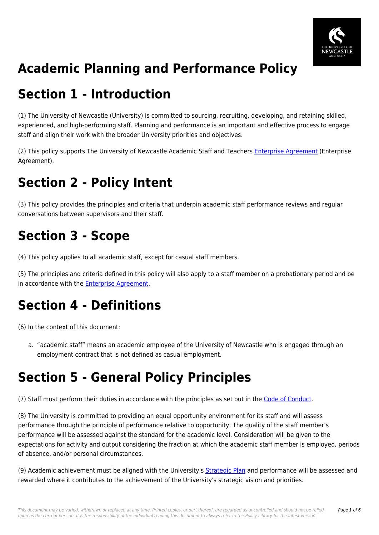

# **Academic Planning and Performance Policy**

## **Section 1 - Introduction**

(1) The University of Newcastle (University) is committed to sourcing, recruiting, developing, and retaining skilled, experienced, and high-performing staff. Planning and performance is an important and effective process to engage staff and align their work with the broader University priorities and objectives.

(2) This policy supports The University of Newcastle Academic Staff and Teachers [Enterprise Agreement](https://policies.newcastle.edu.au/download.php?id=32&version=1&associated) (Enterprise Agreement).

# **Section 2 - Policy Intent**

(3) This policy provides the principles and criteria that underpin academic staff performance reviews and regular conversations between supervisors and their staff.

# **Section 3 - Scope**

(4) This policy applies to all academic staff, except for casual staff members.

(5) The principles and criteria defined in this policy will also apply to a staff member on a probationary period and be in accordance with the **[Enterprise Agreement](https://policies.newcastle.edu.au/download.php?id=32&version=1&associated)**.

## **Section 4 - Definitions**

(6) In the context of this document:

a. "academic staff" means an academic employee of the University of Newcastle who is engaged through an employment contract that is not defined as casual employment.

## **Section 5 - General Policy Principles**

(7) Staff must perform their duties in accordance with the principles as set out in the [Code of Conduct](https://policies.newcastle.edu.au/document/view-current.php?id=204).

(8) The University is committed to providing an equal opportunity environment for its staff and will assess performance through the principle of performance relative to opportunity. The quality of the staff member's performance will be assessed against the standard for the academic level. Consideration will be given to the expectations for activity and output considering the fraction at which the academic staff member is employed, periods of absence, and/or personal circumstances.

(9) Academic achievement must be aligned with the University's [Strategic Plan](https://policies.newcastle.edu.au/download.php?id=631&version=1&associated) and performance will be assessed and rewarded where it contributes to the achievement of the University's strategic vision and priorities.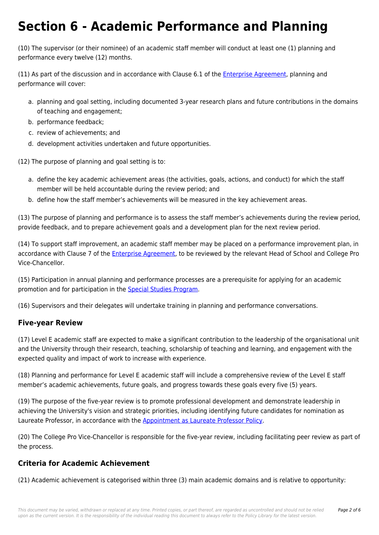## **Section 6 - Academic Performance and Planning**

(10) The supervisor (or their nominee) of an academic staff member will conduct at least one (1) planning and performance every twelve (12) months.

(11) As part of the discussion and in accordance with Clause 6.1 of the [Enterprise Agreement,](https://policies.newcastle.edu.au/download.php?id=32&version=1&associated) planning and performance will cover:

- a. planning and goal setting, including documented 3-year research plans and future contributions in the domains of teaching and engagement;
- b. performance feedback;
- c. review of achievements; and
- d. development activities undertaken and future opportunities.

(12) The purpose of planning and goal setting is to:

- a. define the key academic achievement areas (the activities, goals, actions, and conduct) for which the staff member will be held accountable during the review period; and
- b. define how the staff member's achievements will be measured in the key achievement areas.

(13) The purpose of planning and performance is to assess the staff member's achievements during the review period, provide feedback, and to prepare achievement goals and a development plan for the next review period.

(14) To support staff improvement, an academic staff member may be placed on a performance improvement plan, in accordance with Clause 7 of the [Enterprise Agreement](https://policies.newcastle.edu.au/download.php?id=32&version=1&associated), to be reviewed by the relevant Head of School and College Pro Vice-Chancellor.

(15) Participation in annual planning and performance processes are a prerequisite for applying for an academic promotion and for participation in the [Special Studies Program.](https://policies.newcastle.edu.au/download.php?id=68&version=1&associated)

(16) Supervisors and their delegates will undertake training in planning and performance conversations.

### **Five-year Review**

(17) Level E academic staff are expected to make a significant contribution to the leadership of the organisational unit and the University through their research, teaching, scholarship of teaching and learning, and engagement with the expected quality and impact of work to increase with experience.

(18) Planning and performance for Level E academic staff will include a comprehensive review of the Level E staff member's academic achievements, future goals, and progress towards these goals every five (5) years.

(19) The purpose of the five-year review is to promote professional development and demonstrate leadership in achieving the University's vision and strategic priorities, including identifying future candidates for nomination as Laureate Professor, in accordance with the [Appointment as Laureate Professor Policy](https://policies.newcastle.edu.au/document/view-current.php?id=224).

(20) The College Pro Vice-Chancellor is responsible for the five-year review, including facilitating peer review as part of the process.

### **Criteria for Academic Achievement**

(21) Academic achievement is categorised within three (3) main academic domains and is relative to opportunity: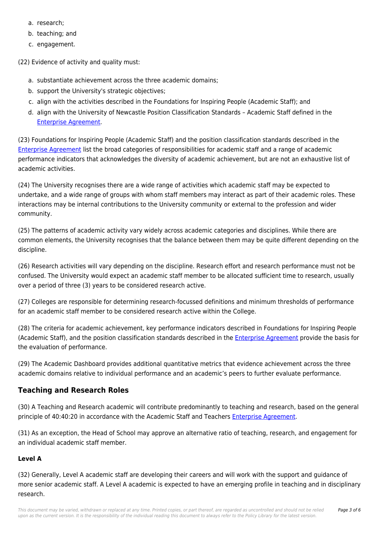- a. research;
- b. teaching; and
- c. engagement.

(22) Evidence of activity and quality must:

- a. substantiate achievement across the three academic domains;
- b. support the University's strategic objectives;
- c. align with the activities described in the Foundations for Inspiring People (Academic Staff); and
- d. align with the University of Newcastle Position Classification Standards Academic Staff defined in the [Enterprise Agreement.](https://policies.newcastle.edu.au/download.php?id=32&version=1&associated)

(23) Foundations for Inspiring People (Academic Staff) and the position classification standards described in the [Enterprise Agreement](https://policies.newcastle.edu.au/download.php?id=32&version=1&associated) list the broad categories of responsibilities for academic staff and a range of academic performance indicators that acknowledges the diversity of academic achievement, but are not an exhaustive list of academic activities.

(24) The University recognises there are a wide range of activities which academic staff may be expected to undertake, and a wide range of groups with whom staff members may interact as part of their academic roles. These interactions may be internal contributions to the University community or external to the profession and wider community.

(25) The patterns of academic activity vary widely across academic categories and disciplines. While there are common elements, the University recognises that the balance between them may be quite different depending on the discipline.

(26) Research activities will vary depending on the discipline. Research effort and research performance must not be confused. The University would expect an academic staff member to be allocated sufficient time to research, usually over a period of three (3) years to be considered research active.

(27) Colleges are responsible for determining research-focussed definitions and minimum thresholds of performance for an academic staff member to be considered research active within the College.

(28) The criteria for academic achievement, key performance indicators described in Foundations for Inspiring People (Academic Staff), and the position classification standards described in the [Enterprise Agreement](https://policies.newcastle.edu.au/download.php?id=32&version=1&associated) provide the basis for the evaluation of performance.

(29) The Academic Dashboard provides additional quantitative metrics that evidence achievement across the three academic domains relative to individual performance and an academic's peers to further evaluate performance.

### **Teaching and Research Roles**

(30) A Teaching and Research academic will contribute predominantly to teaching and research, based on the general principle of 40:40:20 in accordance with the Academic Staff and Teachers [Enterprise Agreement](https://policies.newcastle.edu.au/download.php?id=32&version=1&associated).

(31) As an exception, the Head of School may approve an alternative ratio of teaching, research, and engagement for an individual academic staff member.

### **Level A**

(32) Generally, Level A academic staff are developing their careers and will work with the support and guidance of more senior academic staff. A Level A academic is expected to have an emerging profile in teaching and in disciplinary research.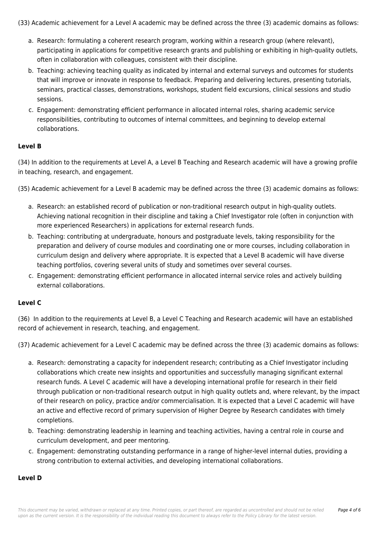(33) Academic achievement for a Level A academic may be defined across the three (3) academic domains as follows:

- a. Research: formulating a coherent research program, working within a research group (where relevant), participating in applications for competitive research grants and publishing or exhibiting in high-quality outlets, often in collaboration with colleagues, consistent with their discipline.
- b. Teaching: achieving teaching quality as indicated by internal and external surveys and outcomes for students that will improve or innovate in response to feedback. Preparing and delivering lectures, presenting tutorials, seminars, practical classes, demonstrations, workshops, student field excursions, clinical sessions and studio sessions.
- c. Engagement: demonstrating efficient performance in allocated internal roles, sharing academic service responsibilities, contributing to outcomes of internal committees, and beginning to develop external collaborations.

### **Level B**

(34) In addition to the requirements at Level A, a Level B Teaching and Research academic will have a growing profile in teaching, research, and engagement.

(35) Academic achievement for a Level B academic may be defined across the three (3) academic domains as follows:

- a. Research: an established record of publication or non-traditional research output in high-quality outlets. Achieving national recognition in their discipline and taking a Chief Investigator role (often in conjunction with more experienced Researchers) in applications for external research funds.
- b. Teaching: contributing at undergraduate, honours and postgraduate levels, taking responsibility for the preparation and delivery of course modules and coordinating one or more courses, including collaboration in curriculum design and delivery where appropriate. It is expected that a Level B academic will have diverse teaching portfolios, covering several units of study and sometimes over several courses.
- c. Engagement: demonstrating efficient performance in allocated internal service roles and actively building external collaborations.

#### **Level C**

(36) In addition to the requirements at Level B, a Level C Teaching and Research academic will have an established record of achievement in research, teaching, and engagement.

(37) Academic achievement for a Level C academic may be defined across the three (3) academic domains as follows:

- a. Research: demonstrating a capacity for independent research; contributing as a Chief Investigator including collaborations which create new insights and opportunities and successfully managing significant external research funds. A Level C academic will have a developing international profile for research in their field through publication or non-traditional research output in high quality outlets and, where relevant, by the impact of their research on policy, practice and/or commercialisation. It is expected that a Level C academic will have an active and effective record of primary supervision of Higher Degree by Research candidates with timely completions.
- b. Teaching: demonstrating leadership in learning and teaching activities, having a central role in course and curriculum development, and peer mentoring.
- c. Engagement: demonstrating outstanding performance in a range of higher-level internal duties, providing a strong contribution to external activities, and developing international collaborations.

#### **Level D**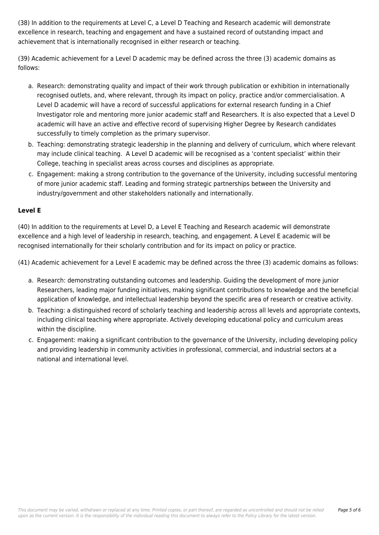(38) In addition to the requirements at Level C, a Level D Teaching and Research academic will demonstrate excellence in research, teaching and engagement and have a sustained record of outstanding impact and achievement that is internationally recognised in either research or teaching.

(39) Academic achievement for a Level D academic may be defined across the three (3) academic domains as follows:

- a. Research: demonstrating quality and impact of their work through publication or exhibition in internationally recognised outlets, and, where relevant, through its impact on policy, practice and/or commercialisation. A Level D academic will have a record of successful applications for external research funding in a Chief Investigator role and mentoring more junior academic staff and Researchers. It is also expected that a Level D academic will have an active and effective record of supervising Higher Degree by Research candidates successfully to timely completion as the primary supervisor.
- b. Teaching: demonstrating strategic leadership in the planning and delivery of curriculum, which where relevant may include clinical teaching. A Level D academic will be recognised as a 'content specialist' within their College, teaching in specialist areas across courses and disciplines as appropriate.
- c. Engagement: making a strong contribution to the governance of the University, including successful mentoring of more junior academic staff. Leading and forming strategic partnerships between the University and industry/government and other stakeholders nationally and internationally.

### **Level E**

(40) In addition to the requirements at Level D, a Level E Teaching and Research academic will demonstrate excellence and a high level of leadership in research, teaching, and engagement. A Level E academic will be recognised internationally for their scholarly contribution and for its impact on policy or practice.

(41) Academic achievement for a Level E academic may be defined across the three (3) academic domains as follows:

- a. Research: demonstrating outstanding outcomes and leadership. Guiding the development of more junior Researchers, leading major funding initiatives, making significant contributions to knowledge and the beneficial application of knowledge, and intellectual leadership beyond the specific area of research or creative activity.
- b. Teaching: a distinguished record of scholarly teaching and leadership across all levels and appropriate contexts, including clinical teaching where appropriate. Actively developing educational policy and curriculum areas within the discipline.
- c. Engagement: making a significant contribution to the governance of the University, including developing policy and providing leadership in community activities in professional, commercial, and industrial sectors at a national and international level.